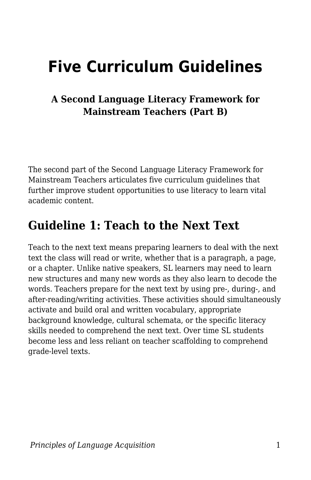# **Five Curriculum Guidelines**

#### **A Second Language Literacy Framework for Mainstream Teachers (Part B)**

The second part of the Second Language Literacy Framework for Mainstream Teachers articulates five curriculum guidelines that further improve student opportunities to use literacy to learn vital academic content.

#### **Guideline 1: Teach to the Next Text**

Teach to the next text means preparing learners to deal with the next text the class will read or write, whether that is a paragraph, a page, or a chapter. Unlike native speakers, SL learners may need to learn new structures and many new words as they also learn to decode the words. Teachers prepare for the next text by using pre-, during-, and after-reading/writing activities. These activities should simultaneously activate and build oral and written vocabulary, appropriate background knowledge, cultural schemata, or the specific literacy skills needed to comprehend the next text. Over time SL students become less and less reliant on teacher scaffolding to comprehend grade-level texts.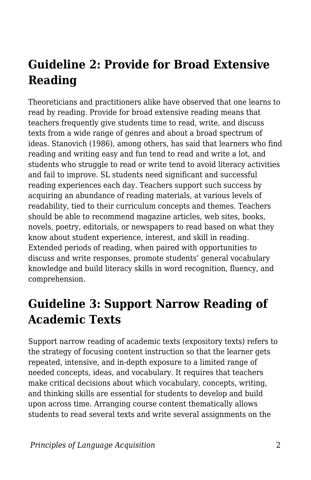## **Guideline 2: Provide for Broad Extensive Reading**

Theoreticians and practitioners alike have observed that one learns to read by reading. Provide for broad extensive reading means that teachers frequently give students time to read, write, and discuss texts from a wide range of genres and about a broad spectrum of ideas. Stanovich (1986), among others, has said that learners who find reading and writing easy and fun tend to read and write a lot, and students who struggle to read or write tend to avoid literacy activities and fail to improve. SL students need significant and successful reading experiences each day. Teachers support such success by acquiring an abundance of reading materials, at various levels of readability, tied to their curriculum concepts and themes. Teachers should be able to recommend magazine articles, web sites, books, novels, poetry, editorials, or newspapers to read based on what they know about student experience, interest, and skill in reading. Extended periods of reading, when paired with opportunities to discuss and write responses, promote students' general vocabulary knowledge and build literacy skills in word recognition, fluency, and comprehension.

#### **Guideline 3: Support Narrow Reading of Academic Texts**

Support narrow reading of academic texts (expository texts) refers to the strategy of focusing content instruction so that the learner gets repeated, intensive, and in-depth exposure to a limited range of needed concepts, ideas, and vocabulary. It requires that teachers make critical decisions about which vocabulary, concepts, writing, and thinking skills are essential for students to develop and build upon across time. Arranging course content thematically allows students to read several texts and write several assignments on the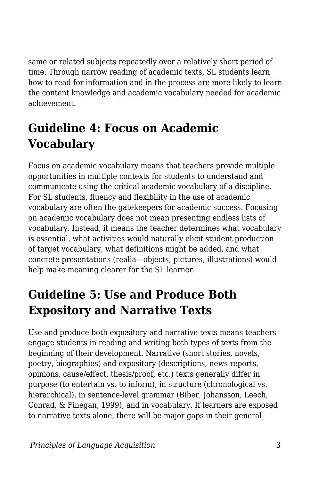same or related subjects repeatedly over a relatively short period of time. Through narrow reading of academic texts, SL students learn how to read for information and in the process are more likely to learn the content knowledge and academic vocabulary needed for academic achievement.

## **Guideline 4: Focus on Academic Vocabulary**

Focus on academic vocabulary means that teachers provide multiple opportunities in multiple contexts for students to understand and communicate using the critical academic vocabulary of a discipline. For SL students, fluency and flexibility in the use of academic vocabulary are often the gatekeepers for academic success. Focusing on academic vocabulary does not mean presenting endless lists of vocabulary. Instead, it means the teacher determines what vocabulary is essential, what activities would naturally elicit student production of target vocabulary, what definitions might be added, and what concrete presentations (realia—objects, pictures, illustrations) would help make meaning clearer for the SL learner.

## **Guideline 5: Use and Produce Both Expository and Narrative Texts**

Use and produce both expository and narrative texts means teachers engage students in reading and writing both types of texts from the beginning of their development. Narrative (short stories, novels, poetry, biographies) and expository (descriptions, news reports, opinions, cause/effect, thesis/proof, etc.) texts generally differ in purpose (to entertain vs. to inform), in structure (chronological vs. hierarchical), in sentence-level grammar (Biber, Johansson, Leech, Conrad, & Finegan, 1999), and in vocabulary. If learners are exposed to narrative texts alone, there will be major gaps in their general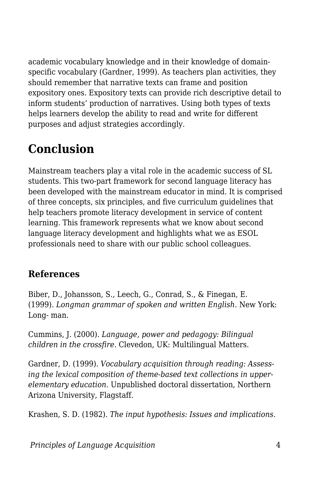academic vocabulary knowledge and in their knowledge of domainspecific vocabulary (Gardner, 1999). As teachers plan activities, they should remember that narrative texts can frame and position expository ones. Expository texts can provide rich descriptive detail to inform students' production of narratives. Using both types of texts helps learners develop the ability to read and write for different purposes and adjust strategies accordingly.

## **Conclusion**

Mainstream teachers play a vital role in the academic success of SL students. This two-part framework for second language literacy has been developed with the mainstream educator in mind. It is comprised of three concepts, six principles, and five curriculum guidelines that help teachers promote literacy development in service of content learning. This framework represents what we know about second language literacy development and highlights what we as ESOL professionals need to share with our public school colleagues.

#### **References**

Biber, D., Johansson, S., Leech, G., Conrad, S., & Finegan, E. (1999). *Longman grammar of spoken and written English*. New York: Long- man.

Cummins, J. (2000). *Language, power and pedagogy: Bilingual children in the crossfire*. Clevedon, UK: Multilingual Matters.

Gardner, D. (1999). *Vocabulary acquisition through reading: Assessing the lexical composition of theme-based text collections in upperelementary education*. Unpublished doctoral dissertation, Northern Arizona University, Flagstaff.

Krashen, S. D. (1982). *The input hypothesis: Issues and implications*.

*Principles of Language Acquisition* 4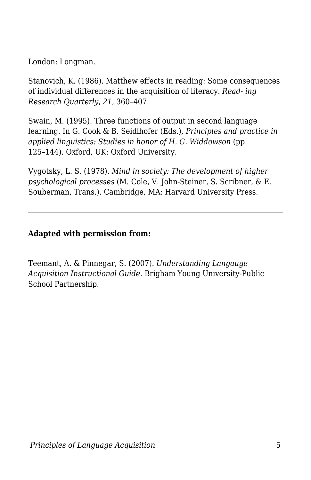London: Longman.

Stanovich, K. (1986). Matthew effects in reading: Some consequences of individual differences in the acquisition of literacy. *Read- ing Research Quarterly*, *21*, 360–407.

Swain, M. (1995). Three functions of output in second language learning. In G. Cook & B. Seidlhofer (Eds.), *Principles and practice in applied linguistics: Studies in honor of H. G. Widdowson* (pp. 125–144). Oxford, UK: Oxford University.

Vygotsky, L. S. (1978). *Mind in society: The development of higher psychological processes* (M. Cole, V. John-Steiner, S. Scribner, & E. Souberman, Trans.). Cambridge, MA: Harvard University Press.

#### **Adapted with permission from:**

Teemant, A. & Pinnegar, S. (2007). *Understanding Langauge Acquisition Instructional Guide.* Brigham Young University-Public School Partnership.